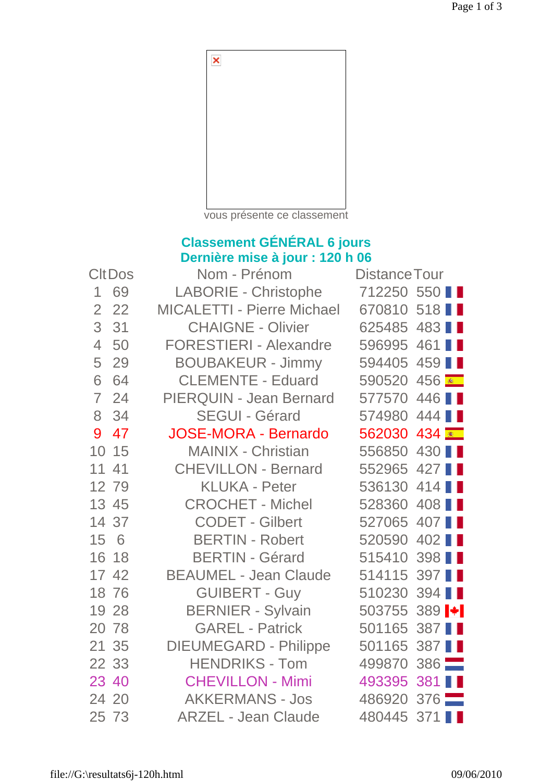

vous présente ce classement

## **Classement GÉNÉRAL 6 jours Dernière mise à jour : 120 h 06**

| <b>CItDos</b>  |       | Nom - Prénom                      | <b>Distance Tour</b>             |  |  |
|----------------|-------|-----------------------------------|----------------------------------|--|--|
| 1              | 69    | <b>LABORIE - Christophe</b>       | 712250 550                       |  |  |
| $\overline{2}$ | 22    | <b>MICALETTI - Pierre Michael</b> | 670810 518                       |  |  |
| 3              | 31    | <b>CHAIGNE - Olivier</b>          | 625485 483                       |  |  |
| $\overline{4}$ | 50    | <b>FORESTIERI - Alexandre</b>     | 596995 461                       |  |  |
| 5              | 29    | <b>BOUBAKEUR - Jimmy</b>          | 594405 459                       |  |  |
| 6              | 64    | <b>CLEMENTE - Eduard</b>          | 590520 456                       |  |  |
| $\overline{ }$ | 24    | PIERQUIN - Jean Bernard           | 577570 446                       |  |  |
| 8              | 34    | <b>SEGUI - Gérard</b>             | 574980 444                       |  |  |
| 9              | 47    | <b>JOSE-MORA - Bernardo</b>       | 562030 434                       |  |  |
| 10             | 15    | <b>MAINIX - Christian</b>         | 556850 430                       |  |  |
| 11             | 41    | <b>CHEVILLON - Bernard</b>        | 552965 427                       |  |  |
|                | 12 79 | <b>KLUKA - Peter</b>              | 536130 414                       |  |  |
|                | 13 45 | <b>CROCHET - Michel</b>           | 528360 408                       |  |  |
|                | 14 37 | <b>CODET - Gilbert</b>            | 527065 407                       |  |  |
| 15 6           |       | <b>BERTIN - Robert</b>            | 520590 402                       |  |  |
|                | 16 18 | <b>BERTIN - Gérard</b>            | 515410 398                       |  |  |
|                | 17 42 | <b>BEAUMEL - Jean Claude</b>      | 514115 397                       |  |  |
|                | 18 76 | <b>GUIBERT - Guy</b>              | 510230 394                       |  |  |
|                | 19 28 | <b>BERNIER - Sylvain</b>          | 503755 389 $\blacktriangleright$ |  |  |
|                | 20 78 | <b>GAREL - Patrick</b>            | 501165 387                       |  |  |
|                | 21 35 | <b>DIEUMEGARD - Philippe</b>      | 501165 387                       |  |  |
|                | 22 33 | <b>HENDRIKS - Tom</b>             | 499870 386                       |  |  |
| 23 40          |       | <b>CHEVILLON - Mimi</b>           | 493395 381 ■                     |  |  |
|                | 24 20 | <b>AKKERMANS - Jos</b>            | 486920 376                       |  |  |
|                | 25 73 | <b>ARZEL - Jean Claude</b>        | 480445 371                       |  |  |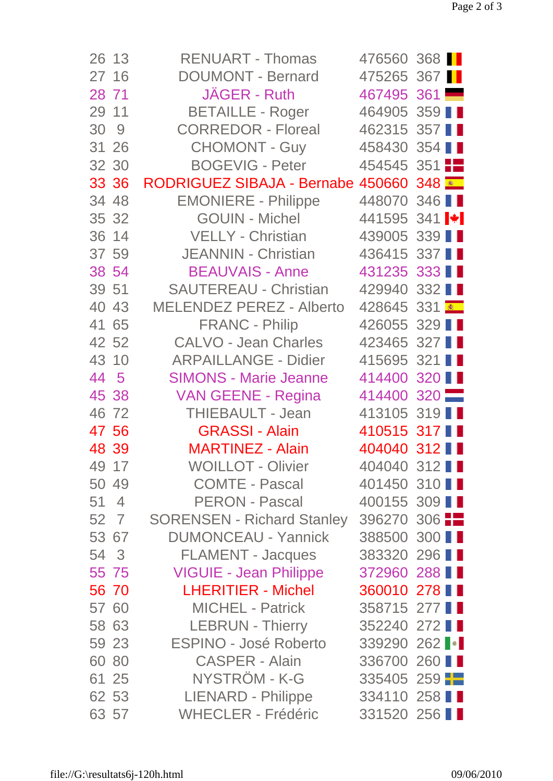| 26 13   | <b>RENUART - Thomas</b>                  | 476560 368                       |  |
|---------|------------------------------------------|----------------------------------|--|
| 27 16   | <b>DOUMONT - Bernard</b>                 | 475265 367                       |  |
| 28 71   | JÄGER - Ruth                             | 467495 361                       |  |
| 29 11   | <b>BETAILLE - Roger</b>                  | 464905 359                       |  |
| 30 9    | <b>CORREDOR - Floreal</b>                | 462315 357                       |  |
| 31 26   | <b>CHOMONT - Guy</b>                     | 458430 354                       |  |
| 32 30   | <b>BOGEVIG - Peter</b>                   | $454545$ 351                     |  |
| 33 36   | RODRIGUEZ SIBAJA - Bernabe 450660 348 RD |                                  |  |
| 34 48   | <b>EMONIERE - Philippe</b>               | 448070 346                       |  |
| 35 32   | <b>GOUIN - Michel</b>                    | 441595 341 $\blacktriangleright$ |  |
| 36 14   | <b>VELLY - Christian</b>                 | 439005 339                       |  |
| 37 59   | JEANNIN - Christian                      | 436415 337                       |  |
| 38 54   | <b>BEAUVAIS - Anne</b>                   | 431235 333                       |  |
| 39 51   | <b>SAUTEREAU - Christian</b>             | 429940 332                       |  |
| 40 43   | <b>MELENDEZ PEREZ - Alberto</b>          | 428645 331                       |  |
| 41 65   | <b>FRANC - Philip</b>                    | 426055 329                       |  |
| 42 52   | <b>CALVO - Jean Charles</b>              | 423465 327                       |  |
| 43 10   | <b>ARPAILLANGE - Didier</b>              | 415695 321                       |  |
| 44 5    | <b>SIMONS - Marie Jeanne</b>             | 414400 320                       |  |
| 45 38   | <b>VAN GEENE - Regina</b>                | 414400 320                       |  |
| 46 72   | THIEBAULT - Jean                         | 413105 319                       |  |
| 47 56   | <b>GRASSI - Alain</b>                    | 410515 317 ■                     |  |
| 48 39   | <b>MARTINEZ - Alain</b>                  | 404040 312 ■                     |  |
| 49 17   | <b>WOILLOT - Olivier</b>                 | 404040 312                       |  |
| 50 49   | <b>COMTE - Pascal</b>                    | 401450 310                       |  |
| 51<br>4 | <b>PERON - Pascal</b>                    | 400155 309                       |  |
| 52 7    | <b>SORENSEN - Richard Stanley</b>        | 396270 306 $\blacksquare$        |  |
| 53 67   | <b>DUMONCEAU - Yannick</b>               | 388500 300                       |  |
| 54 3    | <b>FLAMENT - Jacques</b>                 | 383320 296 1                     |  |
| 55 75   | <b>VIGUIE - Jean Philippe</b>            | 372960 288                       |  |
| 56 70   | <b>LHERITIER - Michel</b>                | 360010 278 ■                     |  |
| 57 60   | <b>MICHEL - Patrick</b>                  | 358715 277                       |  |
| 58 63   | <b>LEBRUN - Thierry</b>                  | 352240 272                       |  |
| 59 23   | <b>ESPINO - José Roberto</b>             | 339290 262 •                     |  |
| 60 80   | <b>CASPER - Alain</b>                    | 336700 260                       |  |
| 61 25   | NYSTRÖM - K-G                            | $335405$ 259                     |  |
| 62 53   | <b>LIENARD - Philippe</b>                | 334110 258                       |  |
| 63 57   | <b>WHECLER - Frédéric</b>                | 331520 256                       |  |